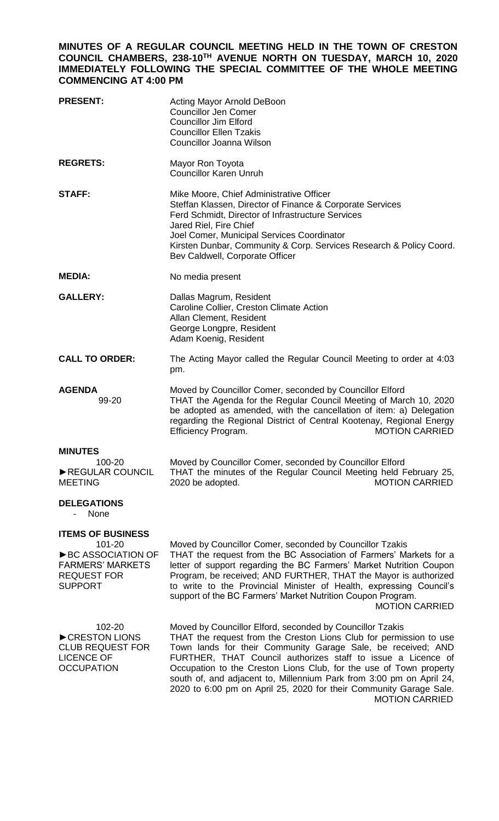## **MINUTES OF A REGULAR COUNCIL MEETING HELD IN THE TOWN OF CRESTON COUNCIL CHAMBERS, 238-10TH AVENUE NORTH ON TUESDAY, MARCH 10, 2020 IMMEDIATELY FOLLOWING THE SPECIAL COMMITTEE OF THE WHOLE MEETING COMMENCING AT 4:00 PM**

| <b>PRESENT:</b>                                                                                                              | Acting Mayor Arnold DeBoon<br><b>Councillor Jen Comer</b><br><b>Councillor Jim Elford</b><br><b>Councillor Ellen Tzakis</b><br><b>Councillor Joanna Wilson</b>                                                                                                                                                                                                                                                                                                                                               |
|------------------------------------------------------------------------------------------------------------------------------|--------------------------------------------------------------------------------------------------------------------------------------------------------------------------------------------------------------------------------------------------------------------------------------------------------------------------------------------------------------------------------------------------------------------------------------------------------------------------------------------------------------|
| <b>REGRETS:</b>                                                                                                              | Mayor Ron Toyota<br><b>Councillor Karen Unruh</b>                                                                                                                                                                                                                                                                                                                                                                                                                                                            |
| <b>STAFF:</b>                                                                                                                | Mike Moore, Chief Administrative Officer<br>Steffan Klassen, Director of Finance & Corporate Services<br>Ferd Schmidt, Director of Infrastructure Services<br>Jared Riel, Fire Chief<br>Joel Comer, Municipal Services Coordinator<br>Kirsten Dunbar, Community & Corp. Services Research & Policy Coord.<br>Bev Caldwell, Corporate Officer                                                                                                                                                                 |
| <b>MEDIA:</b>                                                                                                                | No media present                                                                                                                                                                                                                                                                                                                                                                                                                                                                                             |
| <b>GALLERY:</b>                                                                                                              | Dallas Magrum, Resident<br>Caroline Collier, Creston Climate Action<br>Allan Clement, Resident<br>George Longpre, Resident<br>Adam Koenig, Resident                                                                                                                                                                                                                                                                                                                                                          |
| <b>CALL TO ORDER:</b>                                                                                                        | The Acting Mayor called the Regular Council Meeting to order at 4:03<br>pm.                                                                                                                                                                                                                                                                                                                                                                                                                                  |
| <b>AGENDA</b><br>99-20                                                                                                       | Moved by Councillor Comer, seconded by Councillor Elford<br>THAT the Agenda for the Regular Council Meeting of March 10, 2020<br>be adopted as amended, with the cancellation of item: a) Delegation<br>regarding the Regional District of Central Kootenay, Regional Energy<br><b>MOTION CARRIED</b><br>Efficiency Program.                                                                                                                                                                                 |
| <b>MINUTES</b><br>100-20<br>REGULAR COUNCIL<br><b>MEETING</b>                                                                | Moved by Councillor Comer, seconded by Councillor Elford<br>THAT the minutes of the Regular Council Meeting held February 25,<br>2020 be adopted.<br><b>MOTION CARRIED</b>                                                                                                                                                                                                                                                                                                                                   |
| <b>DELEGATIONS</b><br>None                                                                                                   |                                                                                                                                                                                                                                                                                                                                                                                                                                                                                                              |
| <b>ITEMS OF BUSINESS</b><br>101-20<br>▶ BC ASSOCIATION OF<br><b>FARMERS' MARKETS</b><br><b>REQUEST FOR</b><br><b>SUPPORT</b> | Moved by Councillor Comer, seconded by Councillor Tzakis<br>THAT the request from the BC Association of Farmers' Markets for a<br>letter of support regarding the BC Farmers' Market Nutrition Coupon<br>Program, be received; AND FURTHER, THAT the Mayor is authorized<br>to write to the Provincial Minister of Health, expressing Council's<br>support of the BC Farmers' Market Nutrition Coupon Program.<br><b>MOTION CARRIED</b>                                                                      |
| 102-20<br>CRESTON LIONS<br><b>CLUB REQUEST FOR</b><br><b>LICENCE OF</b><br><b>OCCUPATION</b>                                 | Moved by Councillor Elford, seconded by Councillor Tzakis<br>THAT the request from the Creston Lions Club for permission to use<br>Town lands for their Community Garage Sale, be received; AND<br>FURTHER, THAT Council authorizes staff to issue a Licence of<br>Occupation to the Creston Lions Club, for the use of Town property<br>south of, and adjacent to, Millennium Park from 3:00 pm on April 24,<br>2020 to 6:00 pm on April 25, 2020 for their Community Garage Sale.<br><b>MOTION CARRIED</b> |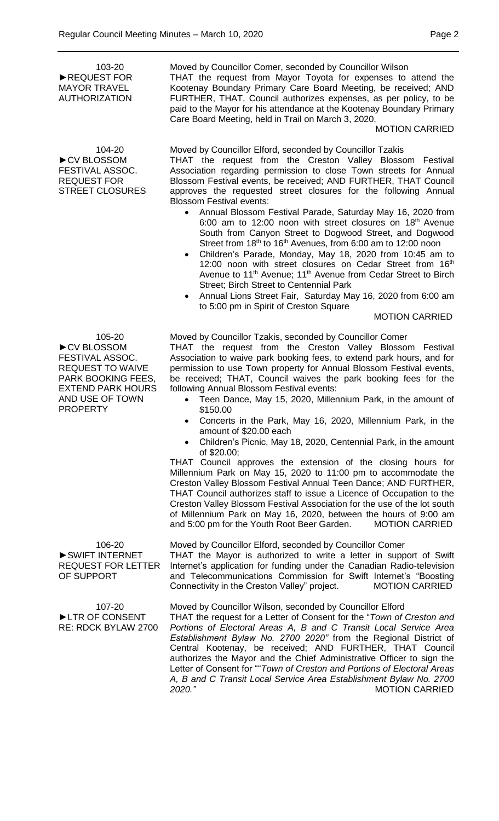103-20 ►REQUEST FOR MAYOR TRAVEL AUTHORIZATION

104-20 ►CV BLOSSOM FESTIVAL ASSOC. REQUEST FOR STREET CLOSURES

105-20 ►CV BLOSSOM FESTIVAL ASSOC. REQUEST TO WAIVE PARK BOOKING FEES, EXTEND PARK HOURS AND USE OF TOWN PROPERTY

106-20 ►SWIFT INTERNET REQUEST FOR LETTER OF SUPPORT

107-20 ►LTR OF CONSENT RE: RDCK BYLAW 2700 Moved by Councillor Comer, seconded by Councillor Wilson THAT the request from Mayor Toyota for expenses to attend the Kootenay Boundary Primary Care Board Meeting, be received; AND FURTHER, THAT, Council authorizes expenses, as per policy, to be paid to the Mayor for his attendance at the Kootenay Boundary Primary Care Board Meeting, held in Trail on March 3, 2020.

## MOTION CARRIED

Moved by Councillor Elford, seconded by Councillor Tzakis THAT the request from the Creston Valley Blossom Festival Association regarding permission to close Town streets for Annual Blossom Festival events, be received; AND FURTHER, THAT Council approves the requested street closures for the following Annual

- Blossom Festival events: Annual Blossom Festival Parade, Saturday May 16, 2020 from 6:00 am to 12:00 noon with street closures on  $18<sup>th</sup>$  Avenue South from Canyon Street to Dogwood Street, and Dogwood Street from 18<sup>th</sup> to 16<sup>th</sup> Avenues, from 6:00 am to 12:00 noon
	- Children's Parade, Monday, May 18, 2020 from 10:45 am to 12:00 noon with street closures on Cedar Street from 16th Avenue to 11<sup>th</sup> Avenue; 11<sup>th</sup> Avenue from Cedar Street to Birch Street; Birch Street to Centennial Park
	- Annual Lions Street Fair, Saturday May 16, 2020 from 6:00 am to 5:00 pm in Spirit of Creston Square

## MOTION CARRIED

Moved by Councillor Tzakis, seconded by Councillor Comer

THAT the request from the Creston Valley Blossom Festival Association to waive park booking fees, to extend park hours, and for permission to use Town property for Annual Blossom Festival events, be received; THAT, Council waives the park booking fees for the following Annual Blossom Festival events:

- Teen Dance, May 15, 2020, Millennium Park, in the amount of \$150.00
- Concerts in the Park, May 16, 2020, Millennium Park, in the amount of \$20.00 each
- Children's Picnic, May 18, 2020, Centennial Park, in the amount of \$20.00;

THAT Council approves the extension of the closing hours for Millennium Park on May 15, 2020 to 11:00 pm to accommodate the Creston Valley Blossom Festival Annual Teen Dance; AND FURTHER, THAT Council authorizes staff to issue a Licence of Occupation to the Creston Valley Blossom Festival Association for the use of the lot south of Millennium Park on May 16, 2020, between the hours of 9:00 am and 5:00 pm for the Youth Root Beer Garden. MOTION CARRIED

Moved by Councillor Elford, seconded by Councillor Comer THAT the Mayor is authorized to write a letter in support of Swift Internet's application for funding under the Canadian Radio-television and Telecommunications Commission for Swift Internet's "Boosting Connectivity in the Creston Valley" project. MOTION CARRIED

Moved by Councillor Wilson, seconded by Councillor Elford THAT the request for a Letter of Consent for the "*Town of Creston and Portions of Electoral Areas A, B and C Transit Local Service Area Establishment Bylaw No. 2700 2020"* from the Regional District of Central Kootenay, be received; AND FURTHER, THAT Council authorizes the Mayor and the Chief Administrative Officer to sign the Letter of Consent for ""*Town of Creston and Portions of Electoral Areas A, B and C Transit Local Service Area Establishment Bylaw No. 2700 2020."* MOTION CARRIED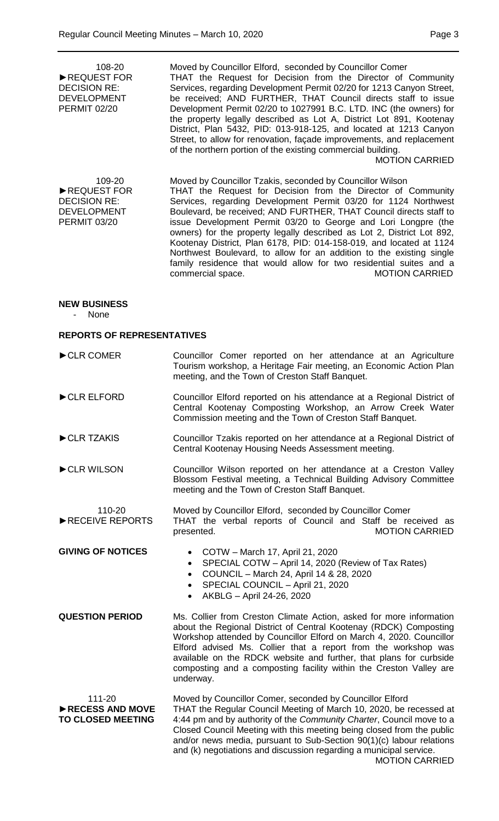| 108-20<br>REQUEST FOR<br><b>DECISION RE:</b><br><b>DEVELOPMENT</b><br><b>PERMIT 02/20</b> | Moved by Councillor Elford, seconded by Councillor Comer<br>THAT the Request for Decision from the Director of Community<br>Services, regarding Development Permit 02/20 for 1213 Canyon Street,<br>be received; AND FURTHER, THAT Council directs staff to issue<br>Development Permit 02/20 to 1027991 B.C. LTD. INC (the owners) for<br>the property legally described as Lot A, District Lot 891, Kootenay<br>District, Plan 5432, PID: 013-918-125, and located at 1213 Canyon<br>Street, to allow for renovation, façade improvements, and replacement<br>of the northern portion of the existing commercial building.<br><b>MOTION CARRIED</b>                             |  |
|-------------------------------------------------------------------------------------------|-----------------------------------------------------------------------------------------------------------------------------------------------------------------------------------------------------------------------------------------------------------------------------------------------------------------------------------------------------------------------------------------------------------------------------------------------------------------------------------------------------------------------------------------------------------------------------------------------------------------------------------------------------------------------------------|--|
| 109-20<br>REQUEST FOR<br><b>DECISION RE:</b><br><b>DEVELOPMENT</b><br><b>PERMIT 03/20</b> | Moved by Councillor Tzakis, seconded by Councillor Wilson<br>THAT the Request for Decision from the Director of Community<br>Services, regarding Development Permit 03/20 for 1124 Northwest<br>Boulevard, be received; AND FURTHER, THAT Council directs staff to<br>issue Development Permit 03/20 to George and Lori Longpre (the<br>owners) for the property legally described as Lot 2, District Lot 892,<br>Kootenay District, Plan 6178, PID: 014-158-019, and located at 1124<br>Northwest Boulevard, to allow for an addition to the existing single<br>family residence that would allow for two residential suites and a<br><b>MOTION CARRIED</b><br>commercial space. |  |
| <b>NEW BUSINESS</b><br>None                                                               |                                                                                                                                                                                                                                                                                                                                                                                                                                                                                                                                                                                                                                                                                   |  |
| <b>REPORTS OF REPRESENTATIVES</b>                                                         |                                                                                                                                                                                                                                                                                                                                                                                                                                                                                                                                                                                                                                                                                   |  |
| CLR COMER                                                                                 | Councillor Comer reported on her attendance at an Agriculture<br>Tourism workshop, a Heritage Fair meeting, an Economic Action Plan<br>meeting, and the Town of Creston Staff Banquet.                                                                                                                                                                                                                                                                                                                                                                                                                                                                                            |  |
| CLR ELFORD                                                                                | Councillor Elford reported on his attendance at a Regional District of<br>Central Kootenay Composting Workshop, an Arrow Creek Water<br>Commission meeting and the Town of Creston Staff Banquet.                                                                                                                                                                                                                                                                                                                                                                                                                                                                                 |  |
| CLR TZAKIS                                                                                | Councillor Tzakis reported on her attendance at a Regional District of<br>Central Kootenay Housing Needs Assessment meeting.                                                                                                                                                                                                                                                                                                                                                                                                                                                                                                                                                      |  |
| CLR WILSON                                                                                | Councillor Wilson reported on her attendance at a Creston Valley<br>Blossom Festival meeting, a Technical Building Advisory Committee<br>meeting and the Town of Creston Staff Banquet.                                                                                                                                                                                                                                                                                                                                                                                                                                                                                           |  |
| 110-20<br>RECEIVE REPORTS                                                                 | Moved by Councillor Elford, seconded by Councillor Comer<br>THAT the verbal reports of Council and Staff be received as<br><b>MOTION CARRIED</b><br>presented.                                                                                                                                                                                                                                                                                                                                                                                                                                                                                                                    |  |
| <b>GIVING OF NOTICES</b>                                                                  | COTW - March 17, April 21, 2020<br>٠<br>SPECIAL COTW - April 14, 2020 (Review of Tax Rates)<br>$\bullet$<br>COUNCIL - March 24, April 14 & 28, 2020<br>$\bullet$<br>SPECIAL COUNCIL - April 21, 2020<br>$\bullet$<br>AKBLG - April 24-26, 2020<br>$\bullet$                                                                                                                                                                                                                                                                                                                                                                                                                       |  |
| <b>QUESTION PERIOD</b>                                                                    | Ms. Collier from Creston Climate Action, asked for more information<br>about the Regional District of Central Kootenay (RDCK) Composting<br>Workshop attended by Councillor Elford on March 4, 2020. Councillor                                                                                                                                                                                                                                                                                                                                                                                                                                                                   |  |

111-20 ►**RECESS AND MOVE TO CLOSED MEETING**

underway.

Moved by Councillor Comer, seconded by Councillor Elford THAT the Regular Council Meeting of March 10, 2020, be recessed at 4:44 pm and by authority of the *Community Charter*, Council move to a Closed Council Meeting with this meeting being closed from the public and/or news media, pursuant to Sub-Section 90(1)(c) labour relations and (k) negotiations and discussion regarding a municipal service. MOTION CARRIED

Elford advised Ms. Collier that a report from the workshop was available on the RDCK website and further, that plans for curbside composting and a composting facility within the Creston Valley are